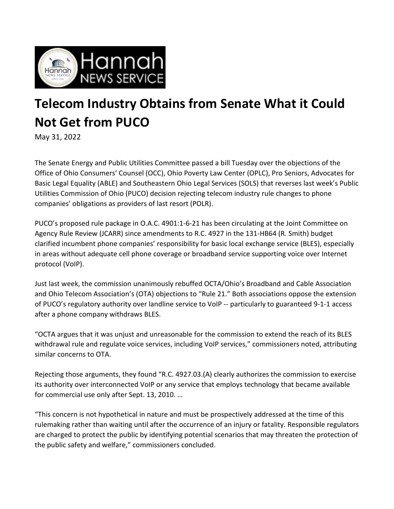

## **Telecom Industry Obtains from Senate What it Could Not Get from PUCO**

May 31, 2022

The Senate Energy and Public Utilities Committee passed a bill Tuesday over the objections of the Office of Ohio Consumers' Counsel (OCC), Ohio Poverty Law Center (OPLC), Pro Seniors, Advocates for Basic Legal Equality (ABLE) and Southeastern Ohio Legal Services (SOLS) that reverses last week's Public Utilities Commission of Ohio (PUCO) decision rejecting telecom industry rule changes to phone companies' obligations as providers of last resort (POLR).

PUCO's proposed rule package in O.A.C. 4901:1-6-21 has been circulating at the Joint Committee on Agency Rule Review (JCARR) since amendments to R.C. 4927 in the 131-HB64 (R. Smith) budget clarified incumbent phone companies' responsibility for basic local exchange service (BLES), especially in areas without adequate cell phone coverage or broadband service supporting voice over Internet protocol (VoIP).

Just last week, the commission unanimously rebuffed OCTA/Ohio's Broadband and Cable Association and Ohio Telecom Association's (OTA) objections to "Rule 21." Both associations oppose the extension of PUCO's regulatory authority over landline service to VoIP -- particularly to guaranteed 9-1-1 access after a phone company withdraws BLES.

"OCTA argues that it was unjust and unreasonable for the commission to extend the reach of its BLES withdrawal rule and regulate voice services, including VoIP services," commissioners noted, attributing similar concerns to OTA.

Rejecting those arguments, they found "R.C. 4927.03.(A) clearly authorizes the commission to exercise its authority over interconnected VoIP or any service that employs technology that became available for commercial use only after Sept. 13, 2010. …

"This concern is not hypothetical in nature and must be prospectively addressed at the time of this rulemaking rather than waiting until after the occurrence of an injury or fatality. Responsible regulators are charged to protect the public by identifying potential scenarios that may threaten the protection of the public safety and welfare," commissioners concluded.